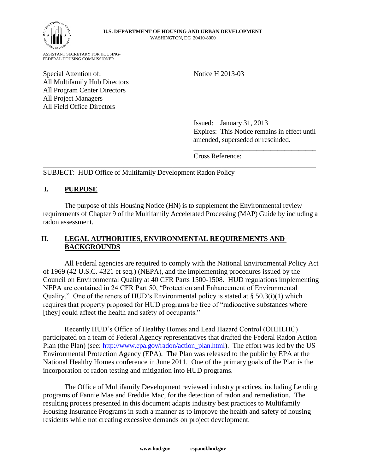

ASSISTANT SECRETARY FOR HOUSING-FEDERAL HOUSING COMMISSIONER

Special Attention of: Notice H 2013-03 All Multifamily Hub Directors All Program Center Directors All Project Managers All Field Office Directors

Issued: January 31, 2013 Expires: This Notice remains in effect until amended, superseded or rescinded.

**\_\_\_\_\_\_\_\_\_\_\_\_\_\_\_\_\_\_\_\_\_\_\_\_\_\_\_\_\_\_\_\_\_\_\_**

Cross Reference:

SUBJECT: HUD Office of Multifamily Development Radon Policy

## **I. PURPOSE**

The purpose of this Housing Notice (HN) is to supplement the Environmental review requirements of Chapter 9 of the Multifamily Accelerated Processing (MAP) Guide by including a radon assessment.

\_\_\_\_\_\_\_\_\_\_\_\_\_\_\_\_\_\_\_\_\_\_\_\_\_\_\_\_\_\_\_\_\_\_\_\_\_\_\_\_\_\_\_\_\_\_\_\_\_\_\_\_\_\_\_\_\_\_\_\_\_\_\_\_\_\_\_\_\_\_\_\_\_\_\_\_\_\_

## **II. LEGAL AUTHORITIES, ENVIRONMENTAL REQUIREMENTS AND BACKGROUNDS**

All Federal agencies are required to comply with the National Environmental Policy Act of 1969 (42 U.S.C. 4321 et seq.) (NEPA), and the implementing procedures issued by the Council on Environmental Quality at 40 CFR Parts 1500-1508. HUD regulations implementing NEPA are contained in 24 CFR Part 50, "Protection and Enhancement of Environmental Quality." One of the tenets of HUD's Environmental policy is stated at  $\S 50.3(i)(1)$  which requires that property proposed for HUD programs be free of "radioactive substances where [they] could affect the health and safety of occupants."

Recently HUD's Office of Healthy Homes and Lead Hazard Control (OHHLHC) participated on a team of Federal Agency representatives that drafted the Federal Radon Action Plan (the Plan) (see: [http://www.epa.gov/radon/action\\_plan.html\)](http://www.epa.gov/radon/action_plan.html). The effort was led by the US Environmental Protection Agency (EPA). The Plan was released to the public by EPA at the National Healthy Homes conference in June 2011. One of the primary goals of the Plan is the incorporation of radon testing and mitigation into HUD programs.

The Office of Multifamily Development reviewed industry practices, including Lending programs of Fannie Mae and Freddie Mac, for the detection of radon and remediation. The resulting process presented in this document adapts industry best practices to Multifamily Housing Insurance Programs in such a manner as to improve the health and safety of housing residents while not creating excessive demands on project development.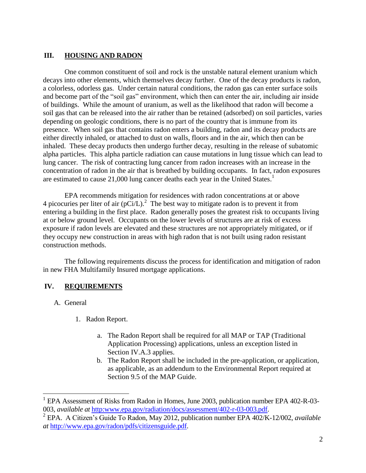## **III. HOUSING AND RADON**

One common constituent of soil and rock is the unstable natural element uranium which decays into other elements, which themselves decay further. One of the decay products is radon, a colorless, odorless gas. Under certain natural conditions, the radon gas can enter surface soils and become part of the "soil gas" environment, which then can enter the air, including air inside of buildings. While the amount of uranium, as well as the likelihood that radon will become a soil gas that can be released into the air rather than be retained (adsorbed) on soil particles, varies depending on geologic conditions, there is no part of the country that is immune from its presence. When soil gas that contains radon enters a building, radon and its decay products are either directly inhaled, or attached to dust on walls, floors and in the air, which then can be inhaled. These decay products then undergo further decay, resulting in the release of subatomic alpha particles. This alpha particle radiation can cause mutations in lung tissue which can lead to lung cancer. The risk of contracting lung cancer from radon increases with an increase in the concentration of radon in the air that is breathed by building occupants. In fact, radon exposures are estimated to cause 21,000 lung cancer deaths each year in the United States.<sup>1</sup>

EPA recommends mitigation for residences with radon concentrations at or above 4 picocuries per liter of air (pCi/L).<sup>2</sup> The best way to mitigate radon is to prevent it from entering a building in the first place. Radon generally poses the greatest risk to occupants living at or below ground level. Occupants on the lower levels of structures are at risk of excess exposure if radon levels are elevated and these structures are not appropriately mitigated, or if they occupy new construction in areas with high radon that is not built using radon resistant construction methods.

The following requirements discuss the process for identification and mitigation of radon in new FHA Multifamily Insured mortgage applications.

## **IV. REQUIREMENTS**

A. General

 $\overline{a}$ 

- 1. Radon Report.
	- a. The Radon Report shall be required for all MAP or TAP (Traditional Application Processing) applications, unless an exception listed in Section IV.A.3 applies.
	- b. The Radon Report shall be included in the pre-application, or application, as applicable, as an addendum to the Environmental Report required at Section 9.5 of the MAP Guide.

<sup>&</sup>lt;sup>1</sup> EPA Assessment of Risks from Radon in Homes, June 2003, publication number EPA 402-R-03-003, *available at* [http:www.epa.gov/radiation/docs/assessment/402-r-03-003.pdf.](http://www.epa.gov/radiation/docs/assessment/402-r-03-003.pdf)

<sup>2</sup> EPA. A Citizen's Guide To Radon, May 2012, publication number EPA 402/K-12/002, *available at* [http://www.epa.gov/radon/pdfs/citizensguide.pdf.](http://www.epa.gov/radon/pdfs/citizensguide.pdf)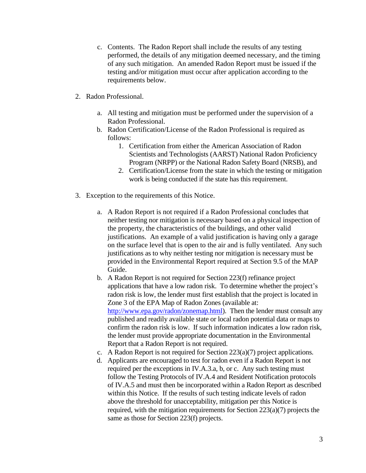- c. Contents. The Radon Report shall include the results of any testing performed, the details of any mitigation deemed necessary, and the timing of any such mitigation. An amended Radon Report must be issued if the testing and/or mitigation must occur after application according to the requirements below.
- 2. Radon Professional.
	- a. All testing and mitigation must be performed under the supervision of a Radon Professional.
	- b. Radon Certification/License of the Radon Professional is required as follows:
		- 1. Certification from either the American Association of Radon Scientists and Technologists (AARST) National Radon Proficiency Program (NRPP) or the National Radon Safety Board (NRSB), and
		- 2. Certification/License from the state in which the testing or mitigation work is being conducted if the state has this requirement.
- 3. Exception to the requirements of this Notice.
	- a. A Radon Report is not required if a Radon Professional concludes that neither testing nor mitigation is necessary based on a physical inspection of the property, the characteristics of the buildings, and other valid justifications. An example of a valid justification is having only a garage on the surface level that is open to the air and is fully ventilated. Any such justifications as to why neither testing nor mitigation is necessary must be provided in the Environmental Report required at Section 9.5 of the MAP Guide.
	- b. A Radon Report is not required for Section 223(f) refinance project applications that have a low radon risk. To determine whether the project's radon risk is low, the lender must first establish that the project is located in Zone 3 of the EPA Map of Radon Zones (available at: [http://www.epa.gov/radon/zonemap.html\)](http://www.epa.gov/radon/zonemap.html). Then the lender must consult any published and readily available state or local radon potential data or maps to confirm the radon risk is low. If such information indicates a low radon risk, the lender must provide appropriate documentation in the Environmental Report that a Radon Report is not required.
	- c. A Radon Report is not required for Section 223(a)(7) project applications.
	- d. Applicants are encouraged to test for radon even if a Radon Report is not required per the exceptions in IV.A.3.a, b, or c. Any such testing must follow the Testing Protocols of IV.A.4 and Resident Notification protocols of IV.A.5 and must then be incorporated within a Radon Report as described within this Notice. If the results of such testing indicate levels of radon above the threshold for unacceptability, mitigation per this Notice is required, with the mitigation requirements for Section 223(a)(7) projects the same as those for Section 223(f) projects.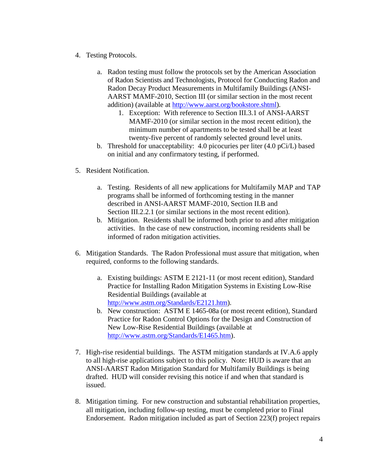- 4. Testing Protocols.
	- a. Radon testing must follow the protocols set by the American Association of Radon Scientists and Technologists, Protocol for Conducting Radon and Radon Decay Product Measurements in Multifamily Buildings (ANSI-AARST MAMF-2010, Section III (or similar section in the most recent addition) (available at [http://www.aarst.org/bookstore.shtml\)](http://www.aarst.org/bookstore.shtmlStandards/E2121.htm).
		- 1. Exception: With reference to Section III.3.1 of ANSI-AARST MAMF-2010 (or similar section in the most recent edition), the minimum number of apartments to be tested shall be at least twenty-five percent of randomly selected ground level units.
	- b. Threshold for unacceptability: 4.0 picocuries per liter (4.0 pCi/L) based on initial and any confirmatory testing, if performed.
- 5. Resident Notification.
	- a. Testing. Residents of all new applications for Multifamily MAP and TAP programs shall be informed of forthcoming testing in the manner described in ANSI-AARST MAMF-2010, Section II.B and Section III.2.2.1 (or similar sections in the most recent edition).
	- b. Mitigation. Residents shall be informed both prior to and after mitigation activities. In the case of new construction, incoming residents shall be informed of radon mitigation activities.
- 6. Mitigation Standards. The Radon Professional must assure that mitigation, when required, conforms to the following standards.
	- a. Existing buildings: ASTM E 2121-11 (or most recent edition), Standard Practice for Installing Radon Mitigation Systems in Existing Low-Rise Residential Buildings (available at [http://www.astm.org/Standards/E2121.htm\)](http://www.astm.org/Standards/E2121.htm).
	- b. New construction: ASTM E 1465-08a (or most recent edition), Standard Practice for Radon Control Options for the Design and Construction of New Low-Rise Residential Buildings (available at [http://www.astm.org/Standards/E1465.htm\)](http://www.astm.org/Standards/E1465.htm).
- 7. High-rise residential buildings. The ASTM mitigation standards at IV.A.6 apply to all high-rise applications subject to this policy. Note: HUD is aware that an ANSI-AARST Radon Mitigation Standard for Multifamily Buildings is being drafted. HUD will consider revising this notice if and when that standard is issued.
- 8. Mitigation timing. For new construction and substantial rehabilitation properties, all mitigation, including follow-up testing, must be completed prior to Final Endorsement. Radon mitigation included as part of Section 223(f) project repairs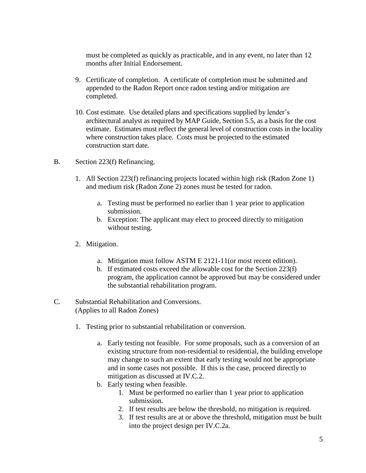must be completed as quickly as practicable, and in any event, no later than 12 months after Initial Endorsement.

- 9. Certificate of completion. A certificate of completion must be submitted and appended to the Radon Report once radon testing and/or mitigation are completed.
- 10. Cost estimate. Use detailed plans and specifications supplied by lender's architectural analyst as required by MAP Guide, Section 5.5, as a basis for the cost estimate. Estimates must reflect the general level of construction costs in the locality where construction takes place. Costs must be projected to the estimated construction start date.
- B. Section 223(f) Refinancing.
	- 1. All Section 223(f) refinancing projects located within high risk (Radon Zone 1) and medium risk (Radon Zone 2) zones must be tested for radon.
		- a. Testing must be performed no earlier than 1 year prior to application submission.
		- b. Exception: The applicant may elect to proceed directly to mitigation without testing.
	- 2. Mitigation.
		- a. Mitigation must follow ASTM E 2121-11(or most recent edition).
		- b. If estimated costs exceed the allowable cost for the Section 223(f) program, the application cannot be approved but may be considered under the substantial rehabilitation program.
- C. Substantial Rehabilitation and Conversions. (Applies to all Radon Zones)
	- 1. Testing prior to substantial rehabilitation or conversion.
		- a. Early testing not feasible. For some proposals, such as a conversion of an existing structure from non-residential to residential, the building envelope may change to such an extent that early testing would not be appropriate and in some cases not possible. If this is the case, proceed directly to mitigation as discussed at IV.C.2.
		- b. Early testing when feasible.
			- 1. Must be performed no earlier than 1 year prior to application submission.
			- 2. If test results are below the threshold, no mitigation is required.
			- 3. If test results are at or above the threshold, mitigation must be built into the project design per IV.C.2a.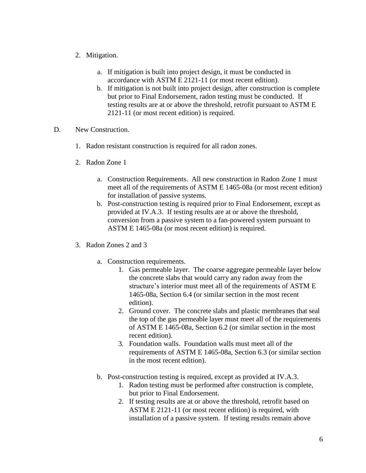- 2. Mitigation.
	- a. If mitigation is built into project design, it must be conducted in accordance with ASTM E 2121-11 (or most recent edition).
	- b. If mitigation is not built into project design, after construction is complete but prior to Final Endorsement, radon testing must be conducted. If testing results are at or above the threshold, retrofit pursuant to ASTM E 2121-11 (or most recent edition) is required.
- D. New Construction.
	- 1. Radon resistant construction is required for all radon zones.
	- 2. Radon Zone 1
		- a. Construction Requirements. All new construction in Radon Zone 1 must meet all of the requirements of ASTM E 1465-08a (or most recent edition) for installation of passive systems.
		- b. Post-construction testing is required prior to Final Endorsement, except as provided at IV.A.3. If testing results are at or above the threshold, conversion from a passive system to a fan-powered system pursuant to ASTM E 1465-08a (or most recent edition) is required.
	- 3. Radon Zones 2 and 3
		- a. Construction requirements.
			- 1. Gas permeable layer. The coarse aggregate permeable layer below the concrete slabs that would carry any radon away from the structure's interior must meet all of the requirements of ASTM E 1465-08a, Section 6.4 (or similar section in the most recent edition).
			- 2. Ground cover. The concrete slabs and plastic membranes that seal the top of the gas permeable layer must meet all of the requirements of ASTM E 1465-08a, Section 6.2 (or similar section in the most recent edition).
			- 3. Foundation walls. Foundation walls must meet all of the requirements of ASTM E 1465-08a, Section 6.3 (or similar section in the most recent edition).
		- b. Post-construction testing is required, except as provided at IV.A.3.
			- 1. Radon testing must be performed after construction is complete, but prior to Final Endorsement.
			- 2. If testing results are at or above the threshold, retrofit based on ASTM E 2121-11 (or most recent edition) is required, with installation of a passive system. If testing results remain above